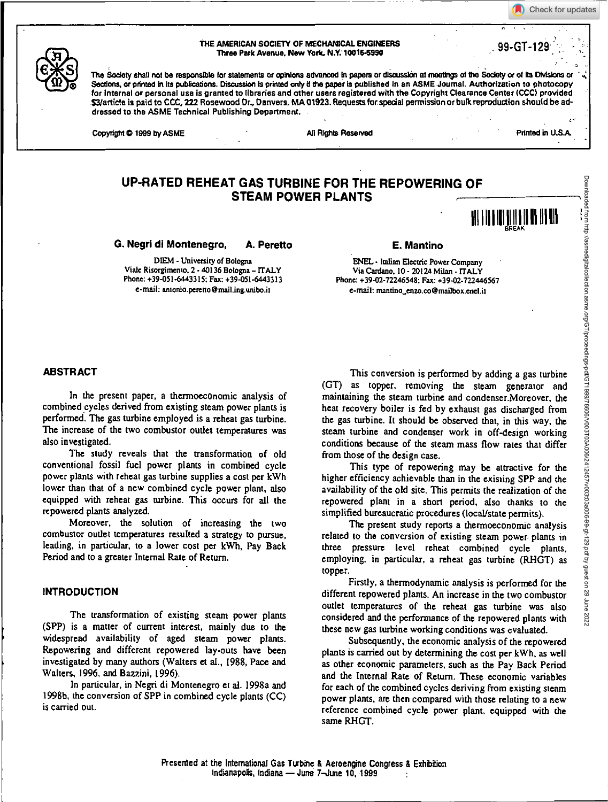Check for updates



11 | **|| |||**||||||

THE AMERICAN SOCIETY OF MECHANICAL ENGINEERS Three Park Avenue, New York, N.Y. 100164990 99-GT-129 .

The Society shall not be responsible for statements or opinions advanced in papers or discussion at meetings of the Society or of its Divisions or Sections, or printed in its publications. Discussion is printed only if the paper is published in an ASME Journal. Authorization to photocopy for Internal or personal use is granted to libraries and other users registered with the Copyright Clearance Center (CCC) provided 53/article is paid to CCC, 222 Rosewood Dr., Danvers, MA 01923. Requests for special permission or bulk reproduction should be addressed to the ASME Technical Publishing Department.

Copyright © 1999 by ASME All Rights Reserved All Rights Reserved Printed in U.S.A.

Downloaded from http://asmedigitalcollection.asme.org/GT/proceedings-pdf/GT1999/78606/V003T03A006/2412457/v003t03a006-99-gt-129.pdf by guest on 29 June 2022

Downloaded from http://asmedigrialcollection.asme.org/GT/proceedings-pdf/GT1999/7860/0031030100002441245/7903006-994129.pdf by guest on 29 June 2022

# **UP-RATED REHEAT GAS TURBINE FOR THE REPOWERING OF STEAM POWER PLANTS**

**G. Negri di Montenegro, A. Peretto E. Mantino** 

DIEM. University of Bologna Viale Risorgimento, 2 - 40136 Bologna - ITALY Phone: +39-051-6443315; Fax: +39.051-6443313 e-mail: antonio.peretto@mailing.uniboit

ENEL • Italian Electric Power Company ' Via Cardano, 10- 20124 Milan - ITALY Phone: +39-02-72246548; Fax: +39-02-722446567 e-mail: mantino\_enzo.co@mailbox.enelit

## **ABSTRACT**

In the present paper, a thermoeconomic analysis of combined cycles derived from existing steam power plants is performed. The gas turbine employed is a reheat gas turbine. The increase of the two combustor outlet temperatures was also investigated.

The study reveals that the transformation of old conventional fossil fuel power plants in combined cycle power plants with reheat gas turbine supplies a cost per kWh lower than that of a new combined cycle power plant, also equipped with reheat gas turbine. This occurs for all the repowered plants analyzed.

Moreover, the solution of increasing the two combustor outlet temperatures resulted a strategy to pursue, leading, in particular, to a lower cost per kWh, Pay Back Period and to a greater Internal Rate of Return.

#### **INTRODUCTION**

The transformation of existing steam power plants (SPP) is a matter of current interest, mainly due to the widespread availability of aged steam power plants. Repowering and different repowered lay-outs have been investigated by many authors (Walters et al., 1988, Pace and Walters, 1996, and Bazzini, 1996).

In particular, in Negri di Montenegro et al. 1998a and 1998b, the conversion of SPP in combined cycle plants (CC) is carried out.

This conversion is performed by adding a gas turbine (CT) as topper, removing the steam generator and maintaining the steam turbine and condenser.Moreover, the heat recovery boiler is fed by exhaust gas discharged from the gas turbine. It should be observed that, in this way, the steam turbine and condenser work in off-design working conditions because of the steam mass flow rates that differ from those of the design case.

This type of repowering may be attractive for the higher efficiency achievable than in the existing SPP and the availability of the old site. This permits the realization of the repowered plant in a short period, also thanks to the simplified bureaucratic procedures (local/state permits),

The present study reports a thermoeconomic analysis related to the conversion of existing steam power. plants in three pressure level reheat combined cycle plants, employing, in particular, a reheat gas turbine (RHGT) as topper.

Firstly, a thermodynamic analysis is performed for the different repowered plants. An increase in the two combustor outlet temperatures of the reheat gas turbine was also considered and the performance of the repowered plants with these new gas turbine working conditions was evaluated.

Subsequently, the economic analysis of the repowered plants is carried out by determining the cost per kWh, as well as other economic parameters, such as the Pay Back Period and the Internal Rate of Return. These economic variables for each of the combined cycles deriving from existing steam power plants, are then compared with those relating to a new reference combined cycle power plant, equipped with the same RHGT.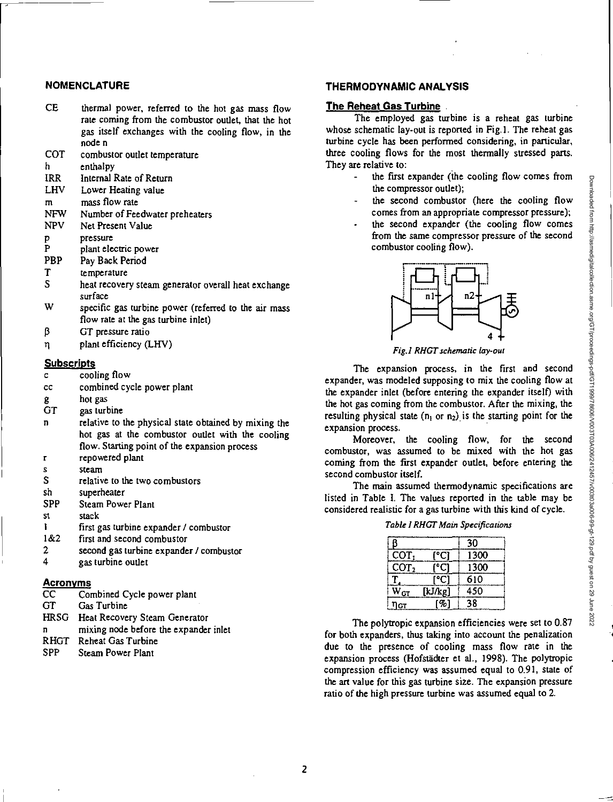# **NOMENCLATURE**

- CE thermal power, referred to the hot gas mass flow rate coming from the combustor outlet, that the hot *gas* itself exchanges with the cooling flow, in the node n
- COT combustor outlet temperature
- h. enthalpy
- IRR Internal Rate of Return
- LHV Lower Heating value
- mass flow rate  $\mathbf{m}$
- NFW Number of Feedwater preheaters<br>NPV Net Present Value
- Net Present Value
- pressure p
- P plant electric power
- PBP Pay Back Period
- T temperature<br>S heat recover
- heat recovery steam generator overall heat exchange surface
- W specific gas turbine power (referred to the air mass flow rate at the gas turbine inlet)
- ß GT pressure ratio
- $\eta$  plant efficiency (LHV)

#### **Subscripts**

- c cooling flow
- cc combined cycle power plant
- g hot gas
- GT gas turbine
- relative to the physical state obtained by mixing the hot gas at the combustor outlet with the cooling flow. Starting point of the expansion process
- r repowered plant
- steam  $\overline{\mathbf{x}}$
- S relative to the two combustors
- sh superheater
- SPP Steam Power Plant
- st stack
- $\mathbf{I}$ first gas turbine expander / combustor
- $1&62$  first and second combustor<br>2 second gas turbine expande
- 2 second gas turbine expander / combustor<br>4 sex turbine outlet
- gas turbine outlet

# **Acronyms**

- CC Combined Cycle power plant<br>GT Gas Turbine
- Gas Turbine
- HRSG Heat Recovery Steam Generator
- mixing node before the expander inlet
- RHGT Reheat Gas Turbine<br>SPP Steam Power Plant
- Steam Power Plant

# **THERMODYNAMIC ANALYSIS**

# **The Reheat Gas Turbine**

The employed gas turbine is a reheat gas turbine whose schematic lay-out is reported in Fig.]. The reheat gas turbine cycle has been performed considering, in particular, three cooling flows for the most thermally stressed parts. They are relative to:

- the first expander (the cooling flow comes from the compressor outlet);
- the second combustor (here the cooling flow comes from an appropriate compressor pressure);
- the second expander (the cooling flow comes from the same compressor pressure of the second combustor cooling flow).



*Fig.I RI/CT schematic lay -out* 

The expansion process, in the first and second expander, was modeled supposing to mix the cooling flow at the expander inlet (before entering the expander itself) with the hot gas coming from the combustor. After the mixing, the resulting physical state ( $n_1$  or  $n_2$ ) is the starting point for the expansion process.

Moreover, the cooling flow, for the second combustor, was assumed to be mixed with the hot gas coming from the first expander outlet, before entering the second combustor itself.

The main assumed thermodynamic specifications are listed in Table I. The values reported in the table may be considered realistic for a gas turbine with this kind of cycle.

|  |  |  | Table I RHGT Main Specifications |  |
|--|--|--|----------------------------------|--|
|  |  |  |                                  |  |

|                  |         | 30   |
|------------------|---------|------|
| COT,             | °Ci     | 1300 |
| COT <sub>2</sub> |         | 1300 |
|                  | °C      | 610  |
| $W_{CT}$         | [kJ/kg] | 450  |
|                  | σ,      | 38   |

The polytropic expansion efficiencies were set to 0.87 for both expanders, thus taking into account the penalization due to the presence of cooling mass flow rate in the expansion process (Hofstadter et al., 1998). The polytropic compression efficiency was assumed equal to 0.91, state of the art value for this gas turbine size The expansion pressure ratio of the high pressure turbine was assumed equal to 2.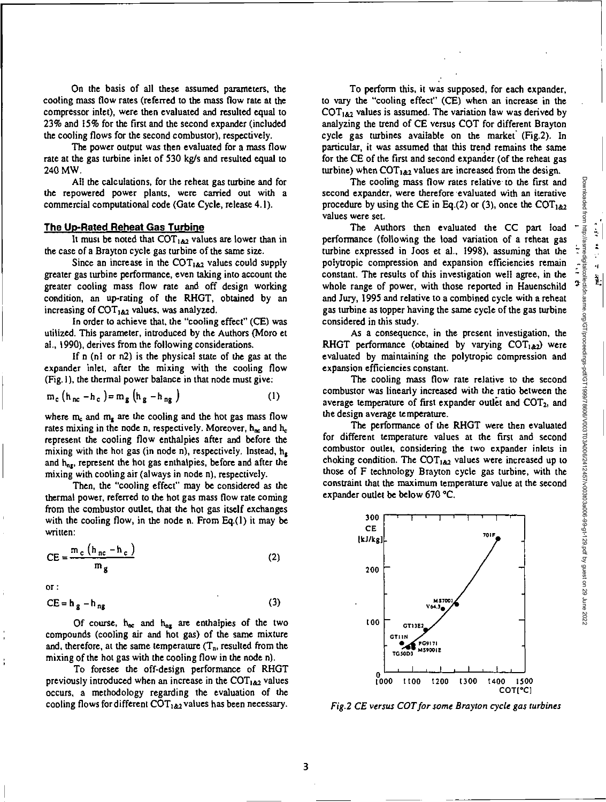• <sup>1</sup>

 $\frac{1}{2}$ 

On the basis of all these assumed parameters, the cooling mass flow rates (referred to the mass flow rate at the compressor inlet), were then evaluated and resulted equal to 23% and 15% for the first and the second expander (included the cooling flows for the second combustor), respectively.

The power output was then evaluated for a mass flow rate at the gas turbine inlet of 530 kg/s and resulted equal to 240 MW.

All the calculations, for the reheat gas turbine and for the repowered power plants, were carried out with a commercial computational code (Gate Cycle, release 4.1).

#### **The Up-Rated Reheat Gas Turbine**

It must be noted that  $COT_{1,82}$  values are lower than in the case of a Brayton cycle gas turbine of the same size.

Since an increase in the  $COT<sub>182</sub>$  values could supply greater gas turbine performance, even taking into account the greater cooling mass flow rate and off design working condition, an up-rating of the RHGT, obtained by an increasing of  $\text{COT}_{1.62}$  values, was analyzed.

In order to achieve that, the "cooling effect" (CE) was utilized. This parameter, introduced by the Authors (Moro et al., 1990), derives from the following considerations.

If  $n$  (n1 or  $n2$ ) is the physical state of the gas at the expander inlet, after the mixing with the cooling flow (Fig. I), the thermal power balance in that node must give:

$$
m_c (h_{nc} - h_c) = m_g (h_g - h_{ng})
$$
 (1)

where  $m_c$  and  $m_e$  are the cooling and the hot gas mass flow rates mixing in the node n, respectively. Moreover,  $h_{nc}$  and  $h_c$ represent the cooling flow enthalpies after and before the mixing with the hot gas (in node n), respectively. Instead,  $h_{\epsilon}$ and  $h_{\text{net}}$ , represent the hot gas enthalpies, before and after the mixing with cooling air (always in node n), respectively.

Then, the "cooling effect" may be considered as the thermal power, referred to the hot gas mass flow rate coming from the combustor outlet, that the hot gas itself exchanges with the cooling flow, in the node n. From Eq.(1) it may be written:

$$
CE = \frac{m_c (h_{nc} - h_c)}{m_g}
$$
 (2)

**Or :** 

 $CE = h<sub>g</sub> - h<sub>ng</sub>$ (3)

Of course,  $h_{nc}$  and  $h_{nz}$  are enthalpies of the two compounds (cooling air and hot gas) of the same mixture and, therefore, at the same temperature  $(T_n)$ , resulted from the mixing of the hot gas with the cooling flow in the node n).

To foresee the off-design performance of RHGT previously introduced when an increase in the  $COT<sub>162</sub>$  values occurs, a methodology regarding the evaluation of the cooling flows for different  $COT<sub>182</sub>$  values has been necessary.

To perform this, it was supposed, for each expander, to vary the "cooling effect" (CE) when an increase in the  $COT<sub>162</sub>$  values is assumed. The variation law was derived by analyzing the trend of CE versus COT for different Brayton cycle gas turbines available on the market' (Fig.2). In particular, it was assumed that this trend remains the same for the CE of the first and second expander (of the reheat gas turbine) when  $COT<sub>142</sub>$  values are increased from the design.

The cooling mass flow rates relative to the first and second expander, were therefore evaluated with an iterative procedure by using the CE in Eq.(2) or (3), once the COT<sub>1&2</sub> values were set

The Authors then evaluated the CC part load performance (following the load variation of a reheat gas turbine expressed in Joos et al., 1998), assuming that the polytropic compression and expansion efficiencies remain constant. The results of this investigation well agree, in the whole range of power, with those reported in Hauenschild and Jury, 1995 and relative to a combined cycle with a reheat gas turbine as topper having the same cycle of the gas turbine considered in this study.

As a consequence, in the present investigation, the RHGT performance (obtained by varying  $COT<sub>1</sub>_{2}$  wereevaluated by maintaining the polytropic compression and expansion efficiencies constant.

The cooling mass flow rate relative to the second combustor was linearly increased with the ratio between the average temperature of first expander outlet and  $COT<sub>2</sub>$ , and the design average temperature.

The performance of the RHGT were then evaluated for different temperature values at the first and second combustor outlet, considering the two expander inlets in choking condition. The  $COT_{1.62}$  values were increased up to those of F technology Brayton cycle gas turbine, with the constraint that the maximum temperature value at the second expander outlet be below 670 °C.



Fig.2 CE versus COT for some Brayton cycle gas turbines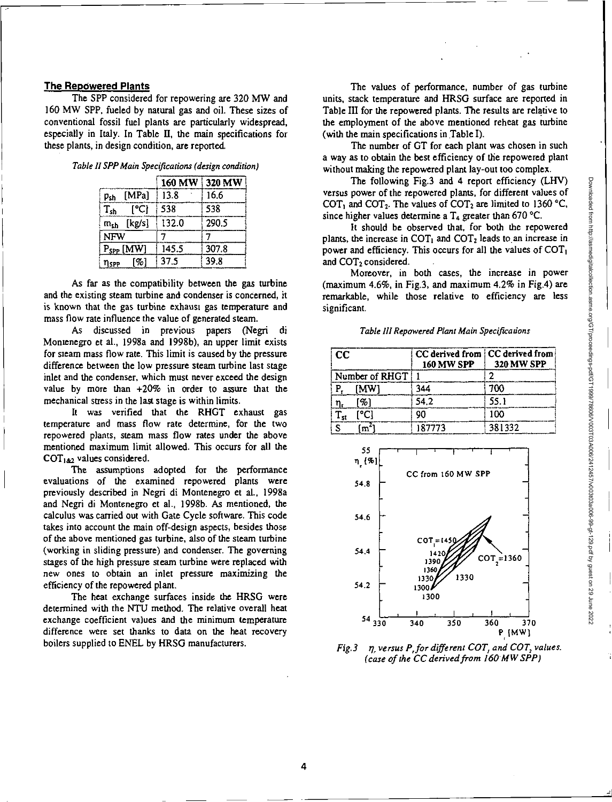#### **The Repowered Plants**

The SPP considered for repowering are 320 MW and 160 MW SPP, fueled by natural gas and oil. These sizes of conventional fossil fuel plants are particularly widespread, especially in Italy. In Table **11,** the main specifications for these plants, in design condition, are reported.

|  | Table II SPP Main Specifications (design condition) |  |
|--|-----------------------------------------------------|--|
|  |                                                     |  |

|                      |       | 160 MW 320 MW |
|----------------------|-------|---------------|
| [MPa]<br>Psh         | 13.8  | 16.6          |
| [°C]<br>$\rm T_{sh}$ | 538   | 538           |
| [kg/s]<br>$m_{sh}$   | 132.0 | 290.5         |
| <b>NFW</b>           |       |               |
| $P_{SPP}$ [MW]       | 145.5 | 307.8         |
| [%]<br>nspp          | 37.5  | 39.8          |

As far as the compatibility between the gas turbine and the existing steam turbine and condenser is concerned, it is known that the gas turbine exhaust gas temperature and mass flow rate influence the value of generated steam.

As discussed in previous papers (Negri di Montenegro et al., 1998a and 1998b), an upper limit exists for steam mass flow rate. This limit is caused by the pressure difference between the low pressure steam turbine last stage inlet and the condenser, which must never exceed the design value by more than +20% in order to assure that the mechanical stress in the last stage is within limits.

It was verified that the RHGT exhaust gas temperature and mass flow rate determine, for the two repowered plants, steam mass flow rates under the above mentioned maximum limit allowed. This occurs for all the  $COT<sub>1.62</sub>$  values considered.

The assumptions adopted for the performance evaluations of the examined repowered plants were previously described in Negri di Montenegro et al., 1998a and Negri di Montenegro et al., 1998b. As mentioned, the calculus was carried out with Gate Cycle software. This code takes into account the main off-design aspects, besides those of the above mentioned gas turbine, also of the steam turbine (working in sliding pressure) and condenser. The governing stages of the high pressure steam turbine were replaced with new ones to obtain an inlet pressure maximizing the efficiency of the repowered plant.

The heat exchange surfaces inside the HRSG were determined with the NTU method. The relative overall heat exchange coefficient values and the minimum temperature difference were set thanks to data on the heat recovery boilers supplied to ENEL by HRSG manufacturers.

The values of performance, number of gas turbine units, stack temperature and HRSG surface are reported in Table III for the repowered plants. The results are relative to the employment of the above mentioned reheat gas turbine (with the main specifications in Table I).

The number of GT for each plant was chosen in such a way as to obtain the best efficiency of the repowered plant without making the repowered plant lay-out too complex.

The following Fig.3 and 4 report efficiency (LHV) versus power of the repowered plants, for different values of COT<sub>1</sub> and COT<sub>2</sub>. The values of COT<sub>2</sub> are limited to 1360 °C, since higher values determine a  $T_4$  greater than 670 °C.

It should be observed that, for both the repowered plants, the increase in  $COT<sub>1</sub>$  and  $COT<sub>2</sub>$  leads to an increase in power and efficiency. This occurs for all the values of  $\text{COT}_1$ and COT<sub>2</sub> considered.

Moreover, in both cases, the increase in power (maximum 4.6%, in Fig.3, and maximum 4.2% in Fig.4) are remarkable, while those relative to efficiency are less significant.

Table III Repowered Plant Main Specifications

| cc             | CC derived from CC derived from<br><b>160 MW SPP</b> | <b>320 MW SPP</b> |
|----------------|------------------------------------------------------|-------------------|
| Number of RHGT |                                                      |                   |
| [MW]           | 344                                                  | 700               |
| 961            | 54.2                                                 | 55.1              |
|                | ٥n                                                   | 100               |
|                | 187773                                               | 381332            |



Fig.3  $\eta$ , versus P, for different COT, and COT, values. (case of the CC derived from 160 MW SPP)

**4**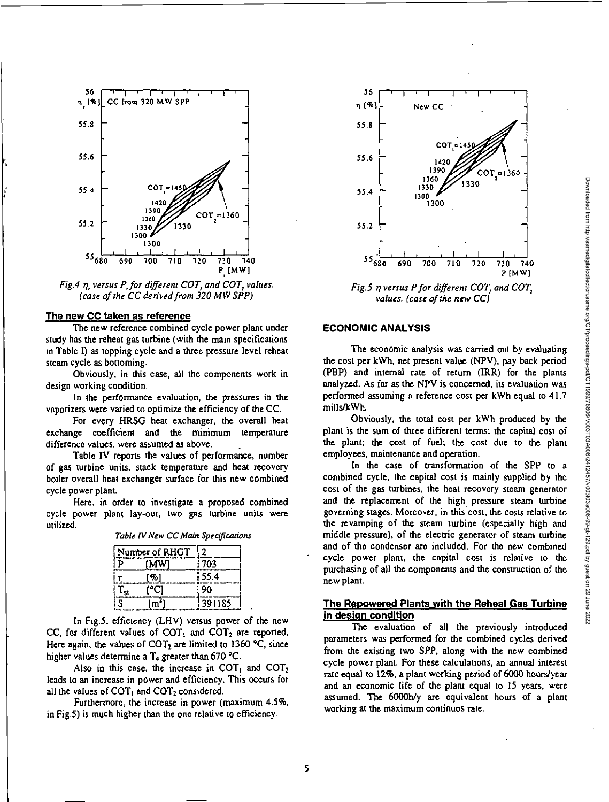

Fig.4 q, versus P,for different COT, and COT, values. (case of the CC derived from 320 MW SPP)

#### **The new CC taken as reference**

The new reference combined cycle power plant under study has the reheat gas turbine (with the main specifications in Table I) as topping cycle and a three pressure level reheat steam cycle as bottoming.

Obviously, in this case, all the components work in design working condition.

In the performance evaluation, the pressures in the vaporizers were varied to optimize the efficiency of the CC.

For every HRSG heat exchanger, the overall heat exchange coefficient and the minimum temperature difference values, were assumed as above.

Table IV reports the values of performance, number of gas turbine units, stack temperature and heat recovery boiler overall heat exchanger surface for this new combined cycle power plant.

Here, in order to investigate a proposed combined cycle power plant lay-out, two gas turbine units were utilized.

| Table IV New CC Main Specifications |  |
|-------------------------------------|--|
|-------------------------------------|--|

| Number of RHGT |      |        |  |
|----------------|------|--------|--|
| D              | (MW) | 703    |  |
|                | 90   | 55.4   |  |
|                | ורי  | 90     |  |
| S              |      | 391185 |  |

In Fig.5, efficiency (LHV) versus power of the new CC, for different values of  $COT<sub>1</sub>$  and  $COT<sub>2</sub>$  are reported. Here again, the values of  $COT<sub>2</sub>$  are limited to 1360 °C, since higher values determine a  $T_4$  greater than 670 °C.

Also in this case, the increase in  $COT<sub>1</sub>$  and  $COT<sub>2</sub>$ leads to an increase in power and efficiency. This occurs for all the values of  $COT<sub>1</sub>$  and  $COT<sub>2</sub>$  considered.

Furthermore, the increase in power (maximum 4.5%, in Fig.5) is much higher than the one relative to efficiency.



Fig.5 q versus P for different COT, and COT, values. (case of the new CC)

# **ECONOMIC ANALYSIS**

The economic analysis was carried out by evaluating the cost per kWh, net present value (NPV), pay back period (PBP) and internal rate of return (IRR) for the plants analyzed. As far as the NPV is concerned, its evaluation was performed assuming a reference cost per kWh equal to 41.7 mills/kWh.

Obviously, the total cost per kWh produced by the plant is the sum of three different terms: the capital cost of the plant; the cost of fuel; the cost due to the plant employees, maintenance and operation.

In the case of transformation of the SPP to a combined cycle, the capital cost is mainly supplied by the cost of the gas turbines, the heat recovery steam generator and the replacement of the high, pressure steam turbine governing stages. Moreover, in this cost, the costs relative to the revamping of the steam turbine (especially high and middle pressure), of the electric generator of steam turbine and of the condenser are included. For the new combined cycle power plant, the capital cost is relative to the purchasing of all the components and the construction of the new plant.

# **The Repowered Plants with the Reheat Gas Turbine in design condition**

The evaluation of all the previously introduced parameters was performed for the combined cycles derived from the existing two SPP, along with the new combined cycle power plant. For these calculations, an annual interest rate equal to 12%, a plant working period of 6000 hours/year and an economic life of the plant equal to 15 years, were assumed. The 6000h/y are equivalent hours of a plant working at the maximum continuos rate.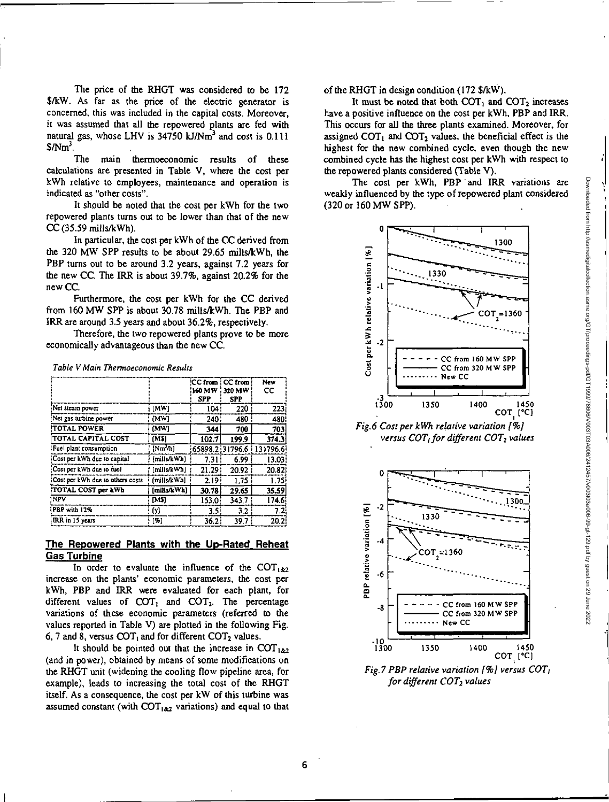The price of the RHGT was considered to be 172 \$/kW. As far as the price of the electric generator is concerned, this was included in the capital costs. Moreover, it was assumed that all the repowered plants are fed with natural gas, whose LHV is 34750 kJ/Nm<sup>3</sup> and cost is 0.111  $$Nm<sup>3</sup>$ .

The main thermoeconomic results of these calculations are presented in Table V, where the cost per kWh relative to employees, maintenance and operation is indicated as "other costs".

It should be noted that the cost per kWh for the two repowered plants turns out to be lower than that of the new  $CC$  (35.59 mills/kWh).

In particular, the cost per kWh of the CC derived from the 320 MW SPP results to be about 29.65 mills/kWh, the PBP turns out to be around 3.2 years, against 7.2 years for the new CC. The IRR is about 39.7%, against 20.2% for the new CC.

Furthermore, the cost per kWh for the CC derived from 160 MW SPP is about 30.78 mills/kWh. The PBP and IRR are around 3.5 years and about 36.2%, respectively.

Therefore, the two repowered plants prove to be more economically advantageous than the new CC.

|                                  |             | CC from i CC from<br>160 MW<br><b>SPP</b> | 320 MW<br><b>SPP</b> | New<br>CC         |
|----------------------------------|-------------|-------------------------------------------|----------------------|-------------------|
| Net steam power                  | [MW]        | 104:                                      | 220                  | 223               |
| Net gas turbine power            | [MW]        | 240                                       | 480                  | 480!              |
| <b>TOTAL POWER</b>               | (MW)        | 344                                       | 700                  | 703               |
| TOTAL CAPITAL COST               | (M\$)       | 102.7                                     | 199.9                | 374.3             |
| Fuel plant consumption           | $[Nm^2/h]$  |                                           | 65898.2:31796.6      | 131796.6!         |
| Cost per kWh oue to capital      | [mills/kWh] | 7.31                                      | 6.99                 | 13.03             |
| Cost per kWh due to fuel         | [mills/kWh] | 21.29                                     | 20.92                | 20.82             |
| Cost per kWh due to others costs | (mills/kWh] | 2.19 <sup>1</sup>                         | 1.75                 | 1.75 <sup>1</sup> |
| TOTAL COST per kWh               | [mills/kWh] | 30.78                                     | 29.65                | 35.59             |
| <b>NPV</b>                       | [M\$]       | 153.0                                     | 343.7                | 174.6             |
| <b>PBP</b> with 12%              | (у)         | 3.5 <sub>1</sub>                          | 3.2                  | 7.2.              |
| IRR in 15 years                  | [%]         | 36.2                                      | 39.7                 | 20.2              |

**Table V Main Thermoeconomic Results** 

## **The Repowered Plants with the Up-Rated Reheat Gas Turbine**

In order to evaluate the influence of the  $COT_{1,82}$ increase on the plants' economic parameters, the cost per kWh, PBP and IRR were evaluated for each plant, for different values of  $COT<sub>1</sub>$  and  $COT<sub>2</sub>$ . The percentage variations of these economic parameters (referred to the values reported in Table V) are plotted in the following Fig. 6, 7 and 8, versus  $COT<sub>1</sub>$  and for different  $COT<sub>2</sub>$  values.

It should be pointed out that the increase in COT<sub>1&2</sub> (and in power), obtained by means of some modifications on the RHGT unit (widening the cooling flow pipeline area, for example), leads to increasing the total cost of the RHGT itself. As a consequence, the cost per kW of this turbine was assumed constant (with  $COT<sub>182</sub>$  variations) and equal to that of the RHGT in design condition (172 \$/kW).

It must be noted that both  $COT_1$  and  $COT_2$  increases have a positive influence on the cost per kWh, PBP and IRR. This occurs for all the three plants examined. Moreover, for assigned  $COT<sub>1</sub>$  and  $COT<sub>2</sub>$  values, the beneficial effect is the highest for the new combined cycle, even though the new combined cycle has the highest cost per kWh with respect to the repowered plants considered (Table V).

The cost per kWh, PBP and IRR variations are weakly influenced by the type of repowered plant considered (320 or 160 MW SPP).



*Fig.6 Cost per kWh relative variation 1%) versus COT<sub>1</sub> for different COT<sub>2</sub> values* 



*Fig.7 PBP relative variation [%] versus COT<sub>1</sub> for different COT2values*